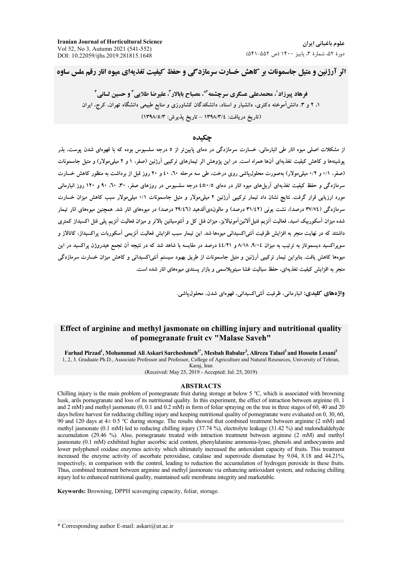**Iranian Journal of Horticultural Science** Vol 52, No 3, Autumn 2021 (541-552) DOI: 10.22059/ijhs.2019.281815.1648

اثر آرژنین و متیل حاسمونات بر کاهش خسارت سرمازدگی و حفظ کیفیت تغذیهای میوه انار رقم ملس ساوه

فرهاد پیرزاد'، محمدعلی عسگری سرچشمه'"، مصباح بابالار آ، علیرضا طلایی آ و حسین لسانی آ ۱، ۲ و ۳. دانش آموخته دکتری، دانشیار و استاد، دانشکدگان کشاورزی و منابع طبیعی دانشگاه تهران، کرج، ایران (تاريخ دريافت: ١٣٩٨/٣/٤ - تاريخ پذيرش: ١٣٩٨/٥/٣)

# حكىدە

از مشکلات اصلی میوه انار طی انبارمانی، خسارت سرمازدگی در دمای پایین تر از ٥ درجه سلسیوس بوده که با قهوهای شدن پوست، بذر بوشینهها و کاهش کیفیت تغذیهای آنها همراه است. در این یژوهش اثر تیمارهای ترکیبی آرژنین (صفر، ۱ و ۲ میلی،مولار) و متیل جاسمونات (صفر، ٠/١ و ٠/٢ ميلي مولار) بهصورت محلول ياشي روى درخت، طي سه مرحله ٦٠، ٤٠ و ٢٠ روز قبل از برداشت به منظور كاهش خسارت سرمازدگی و حفظ کیفیت تغذیهای آریلهای میوه انار در دمای ۰/٥±٤ درجه سلسیوس در روزهای صفر، ۳۰، ۲۰، ۹۰ و ۱۲۰ روز انبارمانی مورد ارزیابی قرار گرفت. نتایج نشان داد تیمار ترکیبی آرژنین ۲ میلیمولار و متیل جاسمونات ۰/۱ میلیمولار سبب کاهش میزان خسارت سرمازدگی (٣٧/٧٤ درصد)، نشت یونی (٣١/٤٢ درصد) و مالوندیآلدهید (٢٩/٤٦ درصد) در میوههای انار شد. همچنین میوههای انار تیمار شده میزان آسکوریک اسید، فعالیت آنزیم فنیل آلانین آمونیالایز، میزان فنل کل و آنتوسیانین پالاتر و میزان فعالیت آنزیم پلی فنل اکسیداز کمتری داشتند که در نهایت منجر به افزایش ظرفیت آنتی/کسیدانی میوهها شد. این تیمار سبب افزایش فعالیت آنزیمی آسکوربات پراکسیداز، کاتالاز و سویراکسید دیسموتاز به ترتیب به میزان ۹/۰۶، ۸/۱۸ و ٤٤/٢١ درصد در مقایسه با شاهد شد که در نتیجه آن تجمع هیدروژن پراکسید در این میوهها کاهش یافت. بنابراین تیمار ترکیبی آرژنین و متیل جاسمونات از طریق بهبود سیستم آنتی|کسیدانی و کاهش میزان خسارت سرمازدگی منجر به افزایش کیفیت تغذیهای، حفظ سیالیت غشا سیتوپلاسمی و بازار پسندی میوههای انار شده است.

واژههای کلیدی: انبارمانی، ظرفیت آنتی اکسیدانی، قهووای شدن، محلول یاشی.

## Effect of arginine and methyl jasmonate on chilling injury and nutritional quality of pomegranate fruit cv "Malase Saveh"

Farhad Pirzad<sup>1</sup>, Mohammad Ali Askari Sarcheshmeh<sup>2\*</sup>, Mesbah Babalar<sup>3</sup>, Alireza Talaei<sup>3</sup> and Hossein Lesani<sup>3</sup>

1, 2, 3. Graduate Ph.D., Associate Professor and Professor, College of Agriculture and Natural Resources, University of Tehran, Karaj, Iran

(Received: May 25, 2019 - Accepted: Jul. 25, 2019)

#### **ABSTRACTS**

Chilling injury is the main problem of pomegranate fruit during storage at below 5 °C, which is associated with browning husk, arils pomegranate and loss of its nutritional quality. In this experiment, the effect of intraction between arginine (0, 1) and  $2 \text{ mM}$ ) and methyl jasmonate (0, 0.1 and 0.2 mM) in form of foliar spraying on the tree in three stages of 60, 40 and 20 days before harvest for redducing chilling injury and keeping nutritional quality of pomegranate were evaluated on 0, 30, 60, 90 and 120 days at 4 $\pm$  0.5 °C during storage. The results showed that combined treatment between arginine (2 mM) and methyl jasmonate (0.1 mM) led to reducing chilling injury (37.74 %), electrolyte leakage (31.42 %) and malondialdehyde accumulation (29.46 %). Also, pomegranate treated with intraction treatment between arginine (2 mM) and methyl jasmonate (0.1 mM) exhibited higher ascorbic acid content, phenylalanine ammonia-lyase, phenols and anthocyanins and lower polyphenol oxidase enzymes activity which ultimately increased the antioxidant capacity of fruits. This treatment increased the enzyme activity of ascorbate peroxidase, catalase and superoxide dismutase by 9.04, 8.18 and 44.21%, respectively, in comparison with the control, leading to reduction the accumulation of hydrogen peroxide in these fruits. Thus, combined treatment between arginine and methyl jasmonate via enhancing antioxidant system, and reducing chilling injury led to enhanced nutritional quality, maintained safe membrane integrity and marketable.

Keywords: Browning, DPPH scavenging capacity, foliar, storage.

\* Corresponding author E-mail: askari@ut.ac.ir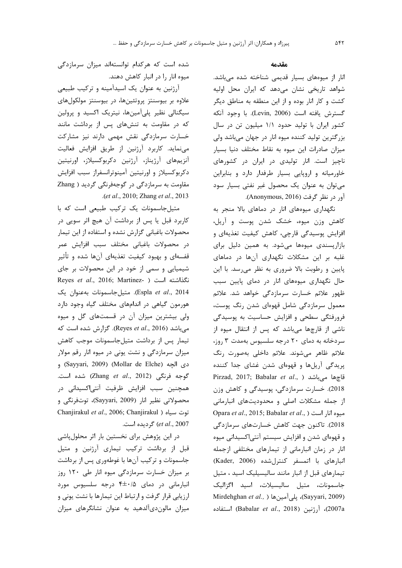شده است که هرکدام توانستهاند میزان سرمازدگی میوه انار را در انبار کاهش دهند. آرژنین به عنوان یک اسیدآمینه و ترکیب طبیعی علاوه بر بیوسنتز پروتئینها، در بیوسنتز مولکولهای سیگنالی نظیر پلیآمینها، نیتریک اکسید و پرولین كه در مقاومت به تنشهای پس از برداشت مانند خسارت سرمازدگی نقش مهمی دارند نیز مشارکت

می نماید. کاربرد آرژنین از طریق افزایش فعالیت آنزیمهای آرژیناز، آرژنین دکربوکسیلاز، اورنیتین دکربوکسیلاز و اورنیتین آمینوترانسفراز سبب افزایش مقاومت به سرمازدگی در گوجهفرنگی گردید ( Zhang .(*et al*., 2010; Zhang *et al*., 2013

متیل جاسمونات یک ترکیب طبیعی است که با كاربرد قبل يا پس از برداشت آن هيچ اثر سويي در محصولات باغبانی گزارش نشده و استفاده از این تیمار در محصولات باغبانی مختلف سبب افزایش عمر قفسهای و بهبود کیفیت تغذیهای آنها شده و تأثیر شیمیایی و سمی از خود در این محصولات بر جای <mark>Reyes *et al.*, 2016; Martinez- نگذاشته است</mark> Espla *et al.*, 2014). متيل جاسمونات بهعنوان يک هورمون گیاهی در اندامهای مختلف گیاه وجود دارد ولی بیشترین میزان آن در قسمتهای گل و میوه میباشد (Reyes *et al*., 2016). گزارش شده است که تیمار پس از برداشت متیلجاسمونات موجب کاهش میزان سرمازدگی و نشت یونی در میوه انار رقم مولار (Sayyari, 2009) (Mollar de Elche) و  $\mathcal{L}$  67 م (Zhang *et al.*, 2012) شده است. همچنین سبب افزایش ظرفیت آنتی|کسیدانی در محصولاتي نظير انار (Sayyari, 2009)، توتفرنگي و Chanjirakul *et al.*, 2006; Chanjirakul ) توت سياه et al., 2007) گردیده است.

در این پژوهش برای نخستین بار اثر محلولپاشی قبل از برداشت ترکیب تیماری آرژنین و متیل جاسمونات و ترکیب آنها با غوطهوری پس از برداشت بر میزان خسارت سرمازدگی میوه انار طی ۱۲۰ روز انبارمانی در دمای ۴±۰/۵ درجه سلسیوس مورد ارزیابی قرار گرفت و ارتباط این تیمارها با نشت یونی و میزان مالون دیآلدهید به عنوان نشانگرهای میزان

#### هق*د*مه

نار از میوههای بسیار قدیمی شناخته شده میباشد. شواهد تاریخی نشان میدهد که ایران محل اولیه كشت و كار انار بوده و از اين منطقه به مناطق ديگر گسترش يافته است (Levin, 2006). با وجود آنكه كشور ايران با توليد حدود ١/١ ميليون تن در سال بزرگترین تولید کننده میوه انار در جهان میباشد ولی میزان صادرات این میوه به نقاط مختلف دنیا بسیار ناچيز است. انار توليدى در ايران در كشورهاى خاورمیانه و اروپایی بسیار طرفدار دارد و بنابراین می توان به عنوان یک محصول غیر نفتی بسیار سود آور در نظر گرفت (Anonymous, 2016).

نگهداری میوههای انار در دماهای بالا منجر به کاهش وزن میوه، خشک شدن پوست و آریل، افزایش پوسیدگی قارچی، کاهش کیفیت تغذیهای و بازارپسندی میوهها میشود. به همین دلیل برای غلبه بر این مشکلات نگهداری آنها در دماهای پایین و رطوبت بالا ضروری به نظر می رسد. با این حال نگهداری میوههای انار در دمای پایین سبب ظهور علائم خسارت سرمازدگی خواهد شد. علائم معمول سرمازدگی شامل قهوهای شدن رنگ پوست، فرورفتگی سطحی و افزایش حساسیت به پوسیدگی ناشی از قارچها میباشد که پس از انتقال میوه از سردخانه به دمای ۲۰ درجه سلسیوس بهمدت ۳ روز، علائم ظاهر میشوند. علائم داخلی بهصورت رنگ پریدگی آریلها و قهوهای شدن غشای جدا کننده Pirzad, 2017; Babalar *et al*., ) قاچها میباشد 2018). خسارت سرمازدگی، پوسیدگی و کاهش وزن از جمله مشكلات اصلى و محدوديتهاى انبارمانى Opara *et al.*, 2015; Babalar *et al.*, ) میوه انا<sub>ر</sub> است 2018). تاكنون جهت كاهش خسارتهاى سرمازد*گى* و قهوهای شدن و افزایش سیستم آنتیاکسیدانی میوه انار در زمان انبارمانی از تیمارهای مختلفی ازجمله نبارهای با اتمسفر کنترلشده (Kader, 2006) تیمارهای قبل از انبار مانند سالیسیلیک اسید ، متیل جاسمونات، متيل ساليسيلات، اسيد اگزاليک Mirdehghan et al., ) يلي آمين ها (Sayyari, 2009) 63)، آرژنین (Babalar *et al.*, 2018) استفاده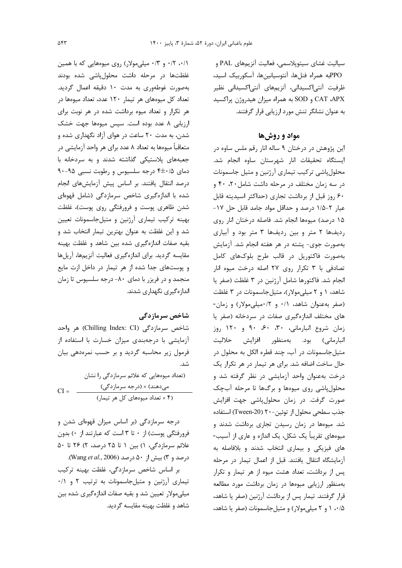سياليت غشاي سيتويلاسمي، فعاليت آنزيمهاي PAL و PPOبه همراه فنلها، آنتوسيانينها، آسكوربيك اسيد، ظرفیت آنتی|کسیدانی، آنزیمهای آنتی|کسیدانی نظیر CAT ،APX و SOD به همراه ميزان هيدروژن پراكسيد به عنوان نشانگر تنش مورد ارزيابي قرار گرفتند.

# مواد و روشها

این پژوهش در درختان ۹ ساله انار رقم ملس ساوه در ایستگاه تحقیقات انار شهرستان ساوه انجام شد. محلول پاشی ترکیب تیماری آرژنین و متیل جاسمونات در سه زمان مختلف در مرحله داشت شامل ۲۰، ۴۰ و ۶۰ روز قبل از برداشت تجاری (حداکثر اسیدیته قابل عیار ۲-۱/۵ درصد و حداقل مواد جامد قابل حل ۱۷-۱۵ درصد) میوهها انجام شد. فاصله درختان انار روی ردیفها ۲ متر و بین ردیفها ۳ متر بود و آبیاری بهصورت جوي- پشته در هر هفته انجام شد. آزمايش بهصورت فاكتوريل در قالب طرح بلوكهاى كامل تصادفی با ۳ تکرار روی ۲۷ اصله درخت میوه انار انجام شد. فاكتورها شامل آرژنين در ٣ غلظت (صفر يا شاهد، ۱ و ۲ میلی مولار)، متیل جاسمونات در ۳ غلظت (صفر به عنوان شاهد، ۰/۱ و ۰/۲میلی مولار) و زمان-های مختلف اندازهگیری صفات در سردخانه (صفر یا زمان شروع انبارمانی، ۳۰، ۶۰، ۹۰ و ۱۲۰ روز انبارمانی) بود. بهمنظور افزایش حلالیت متيلجاسمونات در آب، چند قطره الكل به محلول در حال ساخت اضافه شد. برای هر تیمار در هر تکرار یک درخت بهعنوان واحد آزمایشی در نظر گرفته شد و محلول پاشی روی میوهها و برگها تا مرحله آبچک صورت گرفت. در زمان محلولپاشی جهت افزایش جذب سطحی محلول از توئین-٢٠ (Tween-20) استفاده شد. میوهها در زمان رسیدن تجاری برداشت شدند و میوههای تقریباً یک شکل، یک اندازه و عاری از آسیب-های فیزیکی و بیماری انتخاب شدند و بلافاصله به آزمایشگاه انتقال یافتند. قبل از اعمال تیمار در مرحله پس از برداشت، تعداد هشت میوه از هر تیمار و تکرار بهمنظور ارزیابی میوهها در زمان برداشت مورد مطالعه قرار گرفتند. تیمار پس از برداشت آرژنین (صفر یا شاهد، ۰/۵ ۱۰ و ۲ میلی مولار) و متیل جاسمونات (صفر یا شاهد،

۰/۱، ۰/۲ و ۰/۳ میلی مولار) روی میوههایی که با همین غلظتها در مرحله داشت محلولپاشی شده بودند بهصورت غوطهوری به مدت ۱۰ دقیقه اعمال گردید. تعداد کل میوههای هر تیمار ۱۲۰ عدد، تعداد میوهها در هر تکرار و تعداد میوه برداشت شده در هر نوبت برای ارزیابی ۸ عدد بوده است. سپس میوهها جهت خشک شدن، به مدت ۲۰ ساعت در هوای آزاد نگهداری شده و متعاقباً میوهها به تعداد ۸ عدد برای هر واحد آزمایشی در جعبههای پلاستیکی گذاشته شدند و به سردخانه با دمای ۶۵-۴±۰ درجه سلسیوس و رطوبت نسبی ۹۵-۹۰ درصد انتقال یافتند. بر اساس پیش آزمایشهای انجام شده با اندازهگیری شاخص سرمازدگی (شامل قهوهای شدن ظاهری پوست و فرورفتگی روی پوست)، غلظت بهینه ترکیب تیماری آرژنین و متیلجاسمونات تعیین شد و این غلظت به عنوان بهترین تیمار انتخاب شد و بقیه صفات اندازهگیری شده بین شاهد و غلظت بهینه مقایسه گردید. برای اندازهگیری فعالیت آنزیمها، آریلها و پوستهای جدا شده از هر تیمار در داخل ازت مایع منجمد و در فریزر با دمای ۸۰- درجه سلسیوس تا زمان اندازەگیرى نگھدارى شدند.

# شاخص سرمازدگی

شاخص سرمازدگی (Chilling Index: CI) هر واحد آزمایشی با درجهبندی میزان خسارت با استفاده از فرمول زیر محاسبه گردید و بر حسب نمرهدهی بیان شد.

(تعداد میوههایی که علائم سرمازدگی را نشان میدهند) × (درجه سرمازدگی)<br>(۴ × تعداد میوههای کل هر تیمار)  $CI =$ 

درجه سرمازدگی (بر اساس میزان قهوهای شدن و فرورفتگی یوست) از ۰ تا ۳ است که عبارتند از ۰) بدون علائم سرمازدگی، ۱) بین ۱ تا ۲۵ درصد، ۲) ۲۶ تا ۵۰ درصد و ۳) بیش از ۵۰ درصد (Wang et al., 2006).

بر اساس شاخص سرمازدگی، غلظت بهینه ترکیب تیماری آرژنین و متیل جاسمونات به ترتیب ٢ و ٠/١ میلی،مولار تعیین شد و بقیه صفات اندازهگیری شده بین شاهد و غلظت بهینه مقایسه گردید.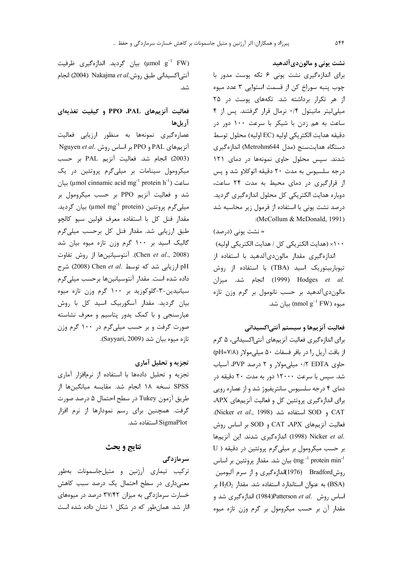نشت یونی و مالون دی آلدهید

برای اندازهگیری نشت یونی ۶ تکه پوست مدور با چوب پنبه سوراخ کن از قسمت استوایی ۳ عدد میوه از هر تکرار برداشته شد. تکههای پوست در ۲۵ میلی لیتر مانیتول ۰/۴ نرمال قرار گرفتند. پس از ۴ ساعت به هم زدن با شیکر با سرعت ۱۰۰ دور در دقيقه هدايت الكتريكي اوليه (EC اوليه) محلول توسط دستگاه هدایتسنج (مدل Metrohm644) اندازهگیری شدند. سیس محلول حاوی نمونهها در دمای ۱۲۱ درجه سلسیوس به مدت ۲۰ دقیقه اتوکلاو شد و پس از قرارگیری در دمای محیط به مدت ٢۴ ساعت، دوباره هدایت الکتریکی کل محلول اندازهگیری گردید. درصد نشت یونی با استفاده از فرمول زیر محاسبه شد :(McCollum & McDonald, 1991)

= نشت یونی (درصد) ۱۰۰× (هدايت الكتريكي كل / هدايت الكتريكي اوليه) اندازەگیرى مقدار مالوندىآلدھید با استفادە از تیوباربیتوریک اسید (TBA) با استفاده از روش .Hodges et al (1999) انجام شد. میزان مالون دی آلدهید بر حسب نانومول بر گرم وزن تازه سیوه (nmol  $g^{-1}$  FW) بیان شد.

# فعالیت آنزیمها و سیستم آنتیاکسیدانی

برای اندازهگیری فعالیت آنزیمهای آنتیاکسیدانی، ۵ گرم از بافت آریل را در بافر فسفات ۵۰ میلی مولار (pH=Y/۸) حاوی FDTA ۰/۲ میلی مولار و ۲ درصد PVP، آسیاب شد. سیس با سرعت ۱۲۰۰۰ دور به مدت ۲۰ دقیقه در دمای ۴ درجه سلسیوس سانتریفیوژ شد و از عصاره رویی برای اندازهگیری پروتئین کل و فعالیت آنزیمهای APX، .(Nicker et al., 1998) استفاده شد (Nicker et al., 1998). فعالیت آنزیمهای CAT ،APX و SOD بر اساس روش .Nicker et al (1998) اندازهگیری شدند. این آنزیمها بر حسب میکرومول بر میلیگرم پروتئین در دقیقه ( U بيان شد. مقدار پروتئين بر اساس (mg  $^{-1}$  protein min $^{-1}$ روشBradford (1976)اندازهگیری و از سرم آلبومین به عنوان استاندارد استفاده شد. مقدار  $H_2O_2$  بر  $H_2O_2$ اساس روش .Patterson et alبPaters اندازهگیری شد و مقدار آن بر حسب میکرومول بر گرم وزن تازه میوه

بیان گردید. اندازهگیری ظرفیت) (µmol  $g^{-1}$  FW) آنتی اکسیدانی طبق روش.Nakajma et al (2004) انجام شد.

# فعالیت آنزیمهای PPO ،PAL و کیفیت تغذیهای آريلها

عصارهگیری نمونهها به منظور ارزیابی فعالیت Nguyen et al. بر اساس روش Nguyen et al. (2003) انجام شد. فعاليت آنزيم PAL بر حسب میکرومول سینامات بر میلیگرم پروتئین در یک ساعت (۱٫ ساعت (۱٫ mol cinnamic acid mg<sup>-1</sup> protein h شد و فعالیت آنزیم PPO بر حسب میکرومول بر ميليگرم پروتئين (µmol mg<sup>-1</sup> protein) بيان گرديد. مقدار فنل كل با استفاده معرف فولين سيو كالچو طبق ارزیابی شد. مقدار فنل کل برحسب میلیگرم گالیک اسید بر ۱۰۰ گرم وزن تازه میوه بیان شد (Chen et al., 2008). آنتوسیانینها از روش تفاوت pH ارزيابي شد كه توسط .Chen et al (2008) شرح داده شده است. مقدار آنتوسیانینها برحسب میلی گرم سیانیدین-۳-گلوکوزید بر ۱۰۰ گرم وزن تازه میوه بیان گردید. مقدار آسکوربیک اسید کل با روش عیارسنجی و با کمک پدور پتاسیم و معرف نشاسته صورت گرفت و بر حسب میلیگرم در ۱۰۰ گرم وزن تازه میوه بیان شد (Sayyari, 2009).

### تجزیه و تحلیل آماری

تجزیه و تحلیل دادهها با استفاده از نرمافزار آماری SPSS نسخه ۱۸ انجام شد. مقایسه میانگینها از طريق آزمون Tukey در سطح احتمال ۵ درصد صورت گرفت. همچنین برای رسم نمودارها از نرم افزار SigmaPlot استفاده شد.

## نتايج و بحث

سر ماز دگی ترکیب تیماری آرژنین و متیلجاسمونات بهطور معنیداری در سطح احتمال یک درصد سبب کاهش خسارت سرمازدگی به میزان ۳۷/۴۲ درصد در میوههای انار شد. همان طور که در شکل ۱ نشان داده شده است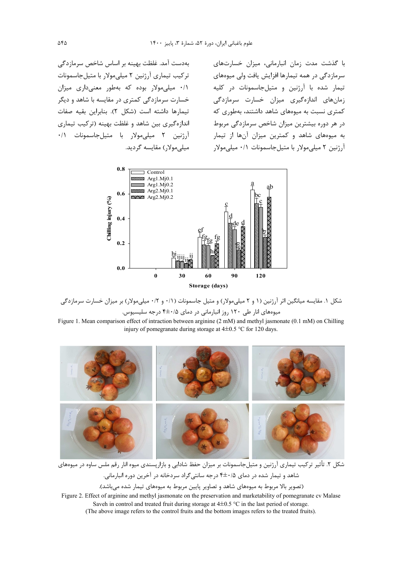بهدست آمد. غلظت بهينه بر اساس شاخص سرمازدگي تركيب تيماري آرژنين ٢ ميلي مولار با متيل جاسمونات ۰/۱ میلی مولار بوده که بهطور معنیداری میزان خسارت سرمازدگی کمتری در مقایسه با شاهد و دیگر تيمارها داشته است (شكل ٢). بنابراين بقيه صفات اندازهگیری بین شاهد و غلظت بهینه (ترکیب تیماری آرژنین ۲ میلی مولار با متیل جاسمونات ۰/۱ میلے مولاں مقایسه گردید. با گذشت مدت زمان انبارمانی، میزان خسارتهای سرمازدگی در همه تیمارها افزایش یافت ولی میوههای تیمار شده با آرژنین و متیلجاسمونات در کلیه زمان های اندازهگیری میزان خسارت سرمازدگی کمتری نسبت به میوههای شاهد داشتند، بهطوری که در هر دوره بیشترین میزان شاخص سرمازدگی مربوط به میوههای شاهد و کمترین میزان آنها از تیمار آرژنین ۲ میلی مولار با متیل جاسمونات ۰/۱ میلی مولار





Figure 1. Mean comparison effect of intraction between arginine (2 mM) and methyl jasmonate (0.1 mM) on Chilling injury of pomegranate during storage at  $4\pm0.5$  °C for 120 days.



شکل ۲. تأثیر ترکیب تیماری آرژنین و متیلجاسمونات بر میزان حفظ شادابی و بازارپسندی میوه انار رقم ملس ساوه در میوههای شاهد و تیمار شده در دمای ۴±۰/۵ درجه سانتیگراد سردخانه در آخرین دوره انبارمانی. (تصویر بالا مربوط به میوههای شاهد و تصاویر پایین مربوط به میوههای تیمار شده میباشد).

Figure 2. Effect of arginine and methyl jasmonate on the preservation and marketability of pomegranate cv Malase Saveh in control and treated fruit during storage at  $4\pm0.5$  °C in the last period of storage. (The above image refers to the control fruits and the bottom images refers to the treated fruits).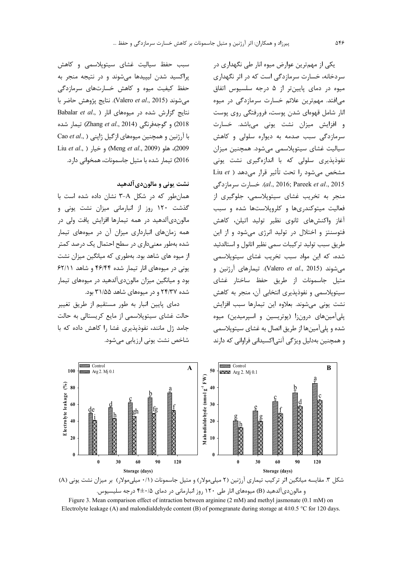یکی از مهمترین عوارض میوه انار طی نگهداری در سردخانه، خسارت سرمازدگی است که در اثر نگهداری میوه در دمای پایینتر از ۵ درجه سلسیوس اتفاق مے افتد. مهمترین علائم خسارت سرمازدگے در میوہ انار شامل قهوهای شدن پوست، فرورفتگی روی پوست و افزایش میزان نشت یونی میباشد. خسارت سرمازدگی سبب صدمه به دیواره سلولی و کاهش سیالیت غشای سیتوپلاسمی می شود. همچنین میزان نفوذیذیری سلولی که با اندازهگیری نشت یونی مشخص میشود را تحت تأثیر قرار میدهد ( Liu et al., 2016; Pareek et al., 2015). خسارت سرمازدگی منجر به تخریب غشای سیتوپلاسمی، جلوگیری از فعالیت میتوکندریها و کلروپلاستها شده و سبب آغاز واکنشهای ثانوی نظیر تولید اتیلن، کاهش فتوسنتز و اختلال در تولید انرژی می شود و از این طريق سبب توليد تركيبات سمى نظير اتانول و استالدئيد شده، که این مواد سبب تخریب غشای سیتوپلاسمی میشوند (Valero et al., 2015). تیمارهای آرژنین و متیل جاسمونات از طریق حفظ ساختار غشای سيتوپلاسمي و نفوذيذيري انتخابي آن، منجر به كاهش نشت یونی میشوند. بعلاوه این تیمارها سبب افزایش پلی آمینهای درون;ا (پوتریسین و اسپرمیدین) میوه شده و یلی آمینها از طریق اتصال به غشای سیتوپلاسمی و همچنین بهدلیل ویژگی آنتی|کسیدانی فراوانی که دارند

سبب حفظ سیالیت غشای سیتوپلاسمی و کاهش پراکسید شدن لیپیدها میشوند و در نتیجه منجر به حفظ کیفیت میوه و کاهش خسارتهای سرمازدگی مي شوند (Valero et al., 2015). نتايج پژوهش حاضر با Babalar et al., ) نتایج گزارش شده در میوههای انار 2018) و گوجهفرنگی (Zhang et al., 2014) تیمار شده Cao et al., ) او تنین و همچنین میوههای از گیل ژاپنی 2009)، هلو (Meng et al., 2009) و خيار (Liu et al., 2016) تیمار شده با متیل جاسمونات، همخوانی دارد.

### نشت یونی و مالون دی آلدهید

همان طور که در شکل A-۳ نشان داده شده است با گذشت ۱۲۰ روز از انبارمانی میزان نشت یونی و مالونديآلدهيد در همه تيمارها افزايش يافت ولي در همه زمانهای انبارداری میزان آن در میوههای تیمار شده بهطور معنیداری در سطح احتمال یک درصد کمتر از میوه های شاهد بود. بهطوری که میانگین میزان نشت یونی در میوههای انار تیمار شده ۴۶/۴۴ و شاهد ۶۲/۱۱ بود و میانگین میزان مالوندیآلدهید در میوههای تیمار شده ۲۴/۳۷ و در میوههای شاهد ۳۱/۵۵ بود.

دمای پایین انبار به طور مستقیم از طریق تغییر حالت غشای سیتوپلاسمی از مایع کریستالی به حالت جامد ژل مانند، نفوذیذیری غشا را کاهش داده که با شاخص نشت یونی ارزیابی مے شود.



و مالون دی آلدهید (B) میوههای انار طی ۱۲۰ روز انبارمانی در دمای ۴±۰/۵ درجه سلیسیوس. Figure 3. Mean comparison effect of intraction between arginine  $(2 \text{ mM})$  and methyl jasmonate  $(0.1 \text{ mM})$  on

Electrolyte leakage (A) and malondialdehyde content (B) of pomegranate during storage at  $4\pm0.5$  °C for 120 days.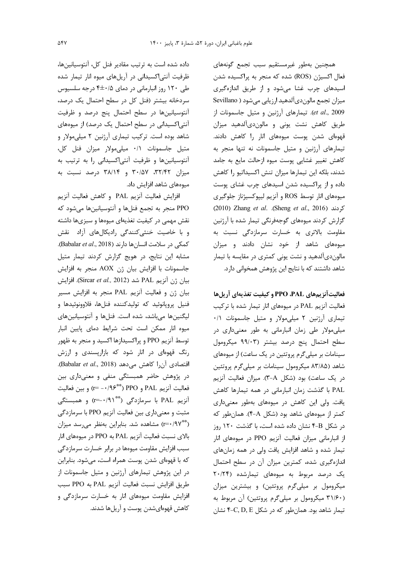داده شده است به ترتیب مقادیر فنل کل، آنتوسیانینها، ظرفیت آنتی|کسیدانی در آریلهای میوه انار تیمار شده طی ۱۲۰ روز انبارمانی در دمای ۴±۰/۵ درجه سلسیوس سردخانه بیشتر (فنل کل در سطح احتمال یک درصد، آنتوسیانینها در سطح احتمال پنج درصد و ظرفیت آنتی|کسیدانی در سطح احتمال یک درصد) از میوههای شاهد بوده است. ترکیب تیماری آرژنین ۲ میلی مولار و متيل جاسمونات ٠/١ ميلي،مولار ميزان فنل كل، آنتوسیانینها و ظرفیت آنتی|کسیدانی را به ترتیب به میزان ۳۰/۵۷، ۳۰/۵۷ و ۳۸/۱۴ درصد نسبت به میوههای شاهد افزایش داد.

افزايش فعاليت آنزيم PAL وكاهش فعاليت آنزيم PPO منجر به تجمع فنلها و آنتوسیانینها میشود که نقش مهمی در کیفیت تغذیهای میوهها و سبزیها داشته و با خاصیت خنثی کنندگی رادیکالهای آزاد نقش كمكى در سلامت انسان ها دارند (Babalar et al., 2018). مشابه این نتایج، در هویج گزارش کردند تیمار متیل جاسمونات با افزايش بيان ژن AOX منجر به افزايش بيان ژن آنزيم PAL شد (Sircar et al., 2012). افزايش بیان ژن و فعالیت آنزیم PAL منجر به افزایش مسیر فنيل پروپانوئيد كه توليدكننده فنلها، فلاوونوئيدها و ليگنينها مي باشد، شده است. فنلها و آنتوسيانينهاي میوه انار ممکن است تحت شرایط دمای پایین انبار توسط آنزیم PPO و پراکسیدازها اکسید و منجر به ظهور رنگ قهوهای در انار شود که بازارپسندی و ارزش اقتصادی آن ا کاهش میدهد (Babalar et al., 2018). در پژوهش حاضر همبستگی منفی و معنیداری بین فعاليت آنزيم PAL و PPO (\*\*\*/۹۶ ) و بين فعاليت آنزیم PAL با سرمازدگی (\*\*\*r=-۰/۹۱) و همبستگی مثبت و معنیداری بین فعالیت آنزیم PPO با سرمازدگی (\*\*\*/۹۷) مشاهده شد. بنابراین بهنظر می رسد میزان بالای نسبت فعالیت آنزیم PAL به PPO در میوههای انار سبب افزایش مقاومت میوهها در برابر خسارت سرمازدگی که با قهوهای شدن پوست همراه است، میشود. بنابراین در این پژوهش تیمارهای آرژنین و متیل جاسمونات از طريق افزايش نسبت فعاليت آنزيم PAL به PPO سبب افزایش مقاومت میوههای انار به خسارت سرمازدگی و کاهش قهوهایشدن پوست و آریلها شدند.

همچنین بهطور غیرمستقیم سبب تجمع گونههای فعال اکسیژن (ROS) شده که منجر به پراکسیده شدن اسیدهای چرب غشا میشود و از طریق اندازهگیری ميزان تجمع مالون دي آلدهيد ارزيابي مي شود ( Sevillano et al., 2009). تيمارهاى آرژنين و متيل جاسمونات از طریق کاهش نشت یونی و مالوندیآلدهید میزان قهومای شدن پوست میومهای انار را کاهش دادند. تیمارهای آرژنین و متیل جاسمونات نه تنها منجر به كاهش تغيير غشايي پوست ميوه ازحالت مايع به جامد شدند، بلكه این تیمارها میزان تنش اكسیداتیو را كاهش داده و از پراکسیده شدن اسیدهای چرب غشای پوست میوههای انار توسط ROS و آنزیم لیپوکسیژناز جلوگیری 2010) Zhang et al. .(Sheng et al., 2016) كردند گزارش کردند میوههای گوجهفرنگی تیمار شده با آرژنین مقاومت بالاتری به خسارت سرمازدگی نسبت به میوههای شاهد از خود نشان دادند و میزان مالوندیآلدهید و نشت یونی کمتری در مقایسه با تیمار شاهد داشتند که با نتایج این پژوهش همخوانی دارد.

فعاليتآنزيمهاي PPO ،PAL و كيفيت تغذيهاي آريلها فعالیت آنزیم PAL در میوههای انار تیمار شده با ترکیب تیماری آرژنین ٢ میلی مولار و متیل جاسمونات ٠/١ میلی مولار طی زمان انبارمانی به طور معنیداری در سطح احتمال پنج درصد بیشتر (۹۹/۰۳ میکرومول سینامات بر میلیگرم پروتئین در یک ساعت) از میوههای شاهد (۸۳/۸۵ میکرومول سینامات بر میلی گرم پروتئین در یک ساعت) بود (شکل A-٣). میزان فعالیت آنزیم PAL با گذشت زمان انبارمانی در همه تیمارها کاهش یافت. ولی این کاهش در میوههای بهطور معنیداری کمتر از میوههای شاهد بود (شکل A-۴). همان طور که در شکل B-۴ نشان داده شده است، با گذشت ۱۲۰ روز از انبارمانی میزان فعالیت آنزیم PPO در میوههای انار تیمار شده و شاهد افزایش یافت ولی در همه زمانهای اندازهگیری شده، کمترین میزان آن در سطح احتمال یک درصد مربوط به میوههای تیمارشده (۲۰/۲۴ میکرومول بر میلیگرم پروتئین) و بیشترین میزان (۳۱/۶۰ میکرومول بر میلیگرم پروتئین) آن مربوط به تیمار شاهد بود. همان طور که در شکل C, D, E\* نشان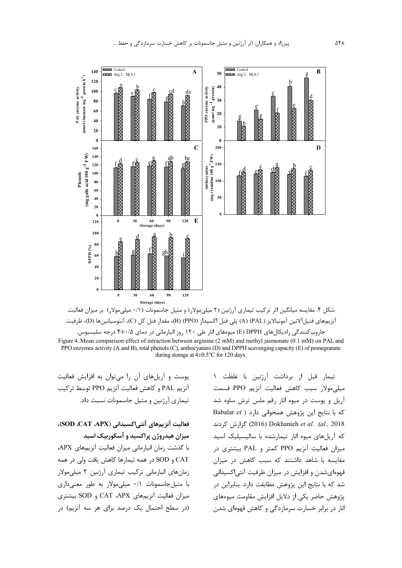



تیمار قبل از برداشت آرژنین با غلظت ۱ ميلي مولار سبب كاهش فعاليت آنزيم PPO قسمت آریل و پوست در میوه انار رقم ملس ترش ساوه شد كه با نتايج اين پژوهش همخواني دارد ( Babalar et 2018). Dokhanieh et al. .(al., 2018) گزارش کردند که آریلهای میوه انار تیمارشده با سالیسیلیک اسید میزان فعالیت آنزیم PPO کمتر و PAL بیشتری در مقایسه با شاهد داشتند که سبب کاهش در میزان قهوهایشدن و افزایش در میزان ظرفیت آنتی|کسیدانی شد که با نتایج این پژوهش مطابقت دارد. بنابراین در پژوهش حاضر یکی از دلایل افزایش مقاومت میوههای انار در برابر خسارت سرمازدگی و کاهش قهوهای شدن

پوست و آریلهای آن را می توان به افزایش فعالیت آنزيم PAL و كاهش فعاليت آنزيم PPO توسط تركيب تیماری آرژنین و متیل جاسمونات نسبت داد.

# فعاليت آنزيمهاي آنتي اكسيداني (SOD .CAT .APX)، میزان هیدروژن پراکسید و آسکوربیک اسید

با گذشت زمان انبارمانی میزان فعالیت آنزیمهای APX، CAT و SOD در همه تیمارها کاهش یافت ولی در همه زمانهای انبارمانی ترکیب تیماری آرژنین ۲ میلی مولار با متيل جاسمونات ٠/١ ميلي مولار به طور معنى دارى میزان فعالیت آنزیمهای CAT ،APX و SOD بیشتری (در سطح احتمال یک درصد برای هر سه آنزیم) در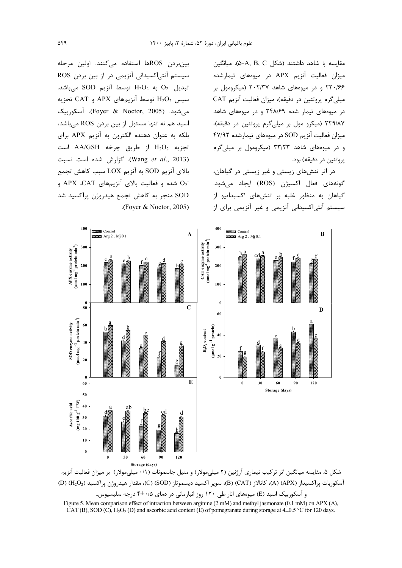مقايسه با شاهد داشتند (شكل A, B, C). مبانگين میزان فعالیت آنزیم APX در میوههای تیمارشده ۲۲۰/۶۶ و در میوههای شاهد ۲۰۲/۳۷ (میکرومول بر میلی گرم پروتئین در دقیقه)، میزان فعالیت آنزیم CAT در میوههای تیمار شده ۲۴۸/۶۹ و در میوههای شاهد ۲۲۹/۸۷ (میکرو مول بر میلیگرم پروتئین در دقیقه)، میزان فعالیت آنزیم SOD در میوههای تیمارشده ۴۷/۹۲ و در میوههای شاهد ۳۳/۲۳ (میکرومول بر میلی گرم يروتئين در دقيقه) بود.

در اثر تنشهای زیستی و غیر زیستی در گیاهان، گونههای فعال اکسیژن (ROS) ایجاد می شود. گیاهان به منظور غلبه بر تنشهای اکسیداتیو از سیستم آنتی|کسیدانی آنزیمی و غیر آنزیمی برای از

بین بردن ROSها استفاده می کنند. اولین مرحله سیستم آنتیاکسیدانی آنزیمی در از بین بردن ROS تبديل  $O_2$  به  $H_2O_2$  توسط آنزيم SOD مىباشد. سیس  $\rm H_2O_2$  توسط آنزیمهای APX و CAT تجزیه می شود. (Foyer & Noctor, 2005). آسکوربیک اسید هم نه تنها مسئول از بین بردن ROS میباشد، بلکه به عنوان دهنده الکترون به آنزیم APX برای تجزيه  $H_2O_2$  از طريق چرخه AA/GSH است (Wang et al., 2013). گزارش شده است نسبت بالای آنزیم SOD به آنزیم LOX سبب کاهش تجمع و APX ،CAT و فعالیت بالای آنزیمهای APX ،CAT و SOD منجر به کاهش تجمع هیدروژن پراکسید شد .(Foyer & Noctor, 2005)



شکل ۵. مقایسه میانگین اثر ترکیب تیماری آرژنین (۲ میلیمولار) و متیل جاسمونات (۰/۱ میلیمولار) بر میزان فعالیت آنزیم آسكوربات پراكسيداز (A) (APX)، كاتالاز (CAT) (B)، سوپر اكسيد ديسموتاز (SOD)، C)، مقدار هيدروژن پراكسيد (P) (H2O2) و آسکوربیک اسید (E) میوههای انار طی ۱۲۰ روز انبارمانی در دمای ۴±۰/۵ درجه سلیسیوس..

Figure 5. Mean comparison effect of intraction between arginine (2 mM) and methyl jasmonate (0.1 mM) on APX (A), CAT (B), SOD (C), H<sub>2</sub>O<sub>2</sub> (D) and ascorbic acid content (E) of pomegranate during storage at 4±0.5 °C for 120 days.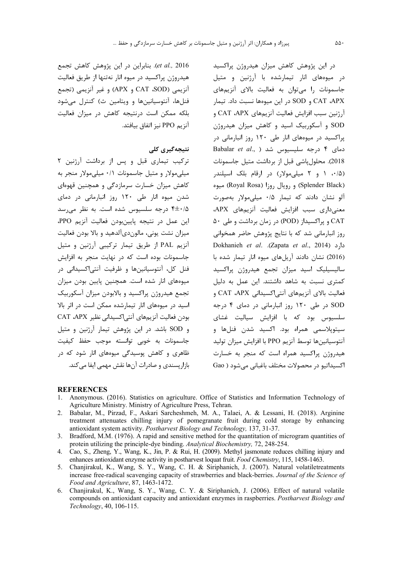در این پژوهش کاهش میزان هیدروژن پراکسید در میوههای انار تیمارشده با آرژنین و متیل جاسمونات را میتوان به فعالیت بالای آنزیمهای CAT ،APX و SOD در این میوهها نسبت داد. تیمار آرژنین سبب افزایش فعالیت آنزیمهای CAT ،APX و SOD و آسکوربیک اسید و کاهش میزان هیدروژن پراکسید در میوههای انار طی ۱۲۰ روز انبارمانی در Babalar et al., ) شد (Babalar et al., ) 2018). محلول یاشی قبل از برداشت متیل جاسمونات (۰/۵ ) و ۲ میلی مولار) در ارقام بلک اسپلندر (Splender Black) و رویال روزا (Royal Rosa) میوه آلو نشان دادند که تیمار ۰/۵ میلیمولار بهصورت معنى دارى سبب افزايش فعاليت آنزيم هاى APX، CAT و پراکسیداز (POD) در زمان برداشت و طی ۵۰ روز انبارمانی شد که با نتایج پژوهش حاضر همخوانی Dokhanieh et al. .(Zapata et al., 2014) (2016) نشان دادند آریلهای میوه انار تیمار شده با سالیسیلیک اسید میزان تجمع هیدروژن پراکسید کمتری نسبت به شاهد داشتند. این عمل به دلیل فعاليت بالاي أنزيمهاي أنتي اكسيداني CAT ،APX و SOD در طی ۱۲۰ روز انبارمانی در دمای ۴ درجه سلسیوس بود که با افزایش سیالیت غشای سیتوپلاسمی همراه بود. اکسید شدن فنلها و آنتوسیانینها توسط آنزیم PPO با افزایش میزان تولید هیدروژن پراکسید همراه است که منجر به خسارت اکسیداتیو در محصولات مختلف باغبانی می شود ( Gao

et al., 2016). بنابراین در این پژوهش کاهش تجمع هیدروژن پراکسید در میوه انار نهتنها از طریق فعالیت آنزيمي CAT ،SOD) و APX) و غير آنزيمي (تجمع فنلها، آنتوسیانینها و ویتامین ث) کنترل می شود بلکه ممکن است درنتیجه کاهش در میزان فعالیت آنزيم PPO نيز اتفاق بيافتد.

### نتىجەگىرى كلى

ترکیب تیماری قبل و پس از برداشت آرژنین ۲ میلی مولار و متیل جاسمونات ۰/۱ میلی مولار منجر به کاهش میزان خسارت سرمازدگی و همچنین قهوهای شدن میوه انار طی ۱۲۰ روز انبارمانی در دمای درجه سلسیوس شده است. به نظر می رسد  $f \pm \cdot / \Delta$ این عمل در نتیجه پایینبودن فعالیت آنزیم PPO، میزان نشت یونی، مالوندیآلدهید و بالا بودن فعالیت آنزیم PAL از طریق تیمار ترکیبی آرژنین و متیل جاسمونات بوده است که در نهایت منجر به افزایش فنل کل، آنتوسیانینها و ظرفیت آنتی اکسیدانی در میوههای انار شده است. همچنین پایین بودن میزان تجمع هیدروژن پراکسید و بالابودن میزان آسکوربیک اسید در میوههای انار تیمارشده ممکن است در اثر بالا بودن فعاليت آنزيمهاي آنتي اكسيداني نظير CAT .APX و SOD باشد. در این پژوهش تیمار آرژنین و متیل .<br>جاسمونات به خوبی توانسته موجب حفظ کیفیت ظاهری و کاهش پوسیدگی میوههای انار شود که در بازار پسندی و صادرات آنها نقش مهمی ایفا می کند.

### **REFERENCES**

- Anonymous. (2016). Statistics on agriculture. Office of Statistics and Information Technology of Agriculture Ministry. Ministry of Agriculture Press, Tehran.
- 2. Babalar, M., Pirzad, F., Askari Sarcheshmeh, M. A., Talaei, A. & Lessani, H. (2018). Arginine treatment attenuates chilling injury of pomegranate fruit during cold storage by enhancing antioxidant system activity. Postharvest Biology and Technology, 137, 31-37.
- 3. Bradford, M.M. (1976). A rapid and sensitive method for the quantitation of microgram quantities of protein utilizing the principle-dye binding. Analytical Biochemistry, 72, 248-254.
- 4. Cao, S., Zheng, Y., Wang, K., Jin, P. & Rui, H. (2009). Methyl jasmonate reduces chilling injury and enhances antioxidant enzyme activity in postharvest loquat fruit. Food Chemistry, 115, 1458-1463.
- 5. Chanjirakul, K., Wang, S. Y., Wang, C. H. & Siriphanich, J. (2007). Natural volatiletreatments increase free-radical scavenging capacity of strawberries and black-berries. Journal of the Science of Food and Agriculture, 87, 1463-1472.
- 6. Chanjirakul, K., Wang, S. Y., Wang, C. Y. & Siriphanich, J. (2006). Effect of natural volatile compounds on antioxidant capacity and antioxidant enzymes in raspberries. Postharvest Biology and Technology, 40, 106-115.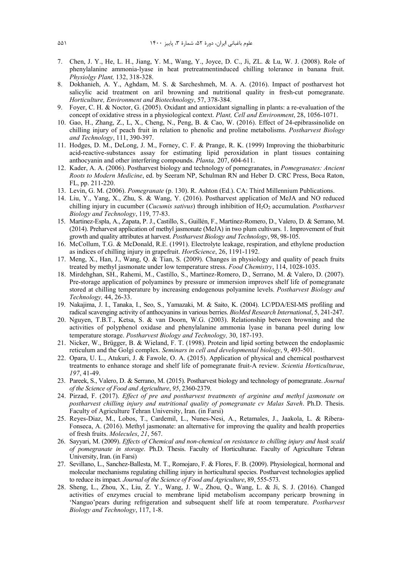- 7. Chen, J. Y., He, L. H., Jiang, Y. M., Wang, Y., Joyce, D. C., Ji, ZL. & Lu, W. J. (2008). Role of phenylalanine ammonia‐lyase in heat pretreatmentinduced chilling tolerance in banana fruit. *Physiolgy Plant,* 132, 318-328.
- 8. Dokhanieh, A. Y., Aghdam, M. S. & Sarcheshmeh, M. A. A. (2016). Impact of postharvest hot salicylic acid treatment on aril browning and nutritional quality in fresh-cut pomegranate. *Horticulture, Environment and Biotechnology*, 57, 378-384.
- 9. Foyer, C. H. & Noctor, G. (2005). Oxidant and antioxidant signalling in plants: a re-evaluation of the concept of oxidative stress in a physiological context. *Plant, Cell and Environment*, 28, 1056-1071.
- 10. Gao, H., Zhang, Z., L, X., Cheng, N., Peng, B. & Cao, W. (2016). Effect of 24-epibrassinolide on chilling injury of peach fruit in relation to phenolic and proline metabolisms. *Postharvest Biology and Technology*, 111, 390-397.
- 11. Hodges, D. M., DeLong, J. M., Forney, C. F. & Prange, R. K. (1999) Improving the thiobarbituric acid-reactive-substances assay for estimating lipid peroxidation in plant tissues containing anthocyanin and other interfering compounds. *Planta,* 207, 604-611.
- 12. Kader, A. A. (2006). Postharvest biology and technology of pomegranates, in *Pomegranates: Ancient Roots to Modern Medicine*, ed. by Seeram NP, Schulman RN and Heber D. CRC Press, Boca Raton, FL, pp. 211-220.
- 13. Levin, G. M. (2006). *Pomegranate* (p. 130). R. Ashton (Ed.). CA: Third Millennium Publications.
- 14. Liu, Y., Yang, X., Zhu, S. & Wang, Y. (2016). Postharvest application of MeJA and NO reduced chilling injury in cucumber (*Cucumis sativus*) through inhibition of H<sub>2</sub>O<sub>2</sub> accumulation. *Postharvest Biology and Technology*, 119, 77-83.
- 15. Martinez-Espla, A., Zapata, P. J., Castillo, S., Guillén, F., Martínez-Romero, D., Valero, D. & Serrano, M. (2014). Preharvest application of methyl jasmonate (MeJA) in two plum cultivars. 1. Improvement of fruit growth and quality attributes at harvest. *Postharvest Biology and Technology*, 98, 98-105.
- 16. McCollum, T.G. & McDonald, R.E. (1991). Electrolyte leakage, respiration, and ethylene production as indices of chilling injury in grapefruit. *HortScience*, 26, 1191-1192.
- 17. Meng, X., Han, J., Wang, Q. & Tian, S. (2009). Changes in physiology and quality of peach fruits treated by methyl jasmonate under low temperature stress. *Food Chemistry*, 114, 1028-1035.
- 18. Mirdehghan, SH., Rahemi, M., Castillo, S., Martinez-Romero, D., Serrano, M. & Valero, D. (2007). Pre-storage application of polyamines by pressure or immersion improves shelf life of pomegranate stored at chilling temperature by increasing endogenous polyamine levels. *Postharvest Biology and Technology,* 44, 26-33.
- 19. Nakajima, J. I., Tanaka, I., Seo, S., Yamazaki, M. & Saito, K. (2004). LC/PDA/ESI-MS profiling and radical scavenging activity of anthocyanins in various berries. *BioMed Research International*, 5, 241-247.
- 20. Nguyen, T.B.T., Ketsa, S. & van Doorn, W.G. (2003). Relationship between browning and the activities of polyphenol oxidase and phenylalanine ammonia lyase in banana peel during low temperature storage. *Postharvest Biology and Technology,* 30, 187-193.
- 21. Nicker, W., Brügger, B. & Wieland, F. T. (1998). Protein and lipid sorting between the endoplasmic reticulum and the Golgi complex. *Seminars in cell and developmental biology*, 9, 493-501.
- 22. Opara, U. L., Atukuri, J. & Fawole, O. A. (2015). Application of physical and chemical postharvest treatments to enhance storage and shelf life of pomegranate fruit-A review. *Scientia Horticulturae*, *197*, 41-49.
- 23. Pareek, S., Valero, D. & Serrano, M. (2015). Postharvest biology and technology of pomegranate. *Journal of the Science of Food and Agriculture*, *95*, 2360-2379.
- 24. Pirzad, F. (2017). *Effect of pre and postharvest treatments of arginine and methyl jasmonate on postharvest chilling injury and nutritional quality of pomegranate cv Malas Saveh*. Ph.D. Thesis. Faculty of Agriculture Tehran University, Iran. (in Farsi)
- 25. Reyes-Diaz, M., Lobos, T., Cardemil, L., Nunes-Nesi, A., Retamales, J., Jaakola, L. & Ribera-Fonseca, A. (2016). Methyl jasmonate: an alternative for improving the quality and health properties of fresh fruits. *Molecules*, *21*, 567.
- 26. Sayyari, M. (2009). *Effects of Chemical and non-chemical on resistance to chilling injury and husk scald of pomegranate in storage*. Ph.D. Thesis. Faculty of Horticulturae. Faculty of Agriculture Tehran University, Iran. (in Farsi)
- 27. Sevillano, L., Sanchez‐Ballesta, M. T., Romojaro, F. & Flores, F. B. (2009). Physiological, hormonal and molecular mechanisms regulating chilling injury in horticultural species. Postharvest technologies applied to reduce its impact. *Journal of the Science of Food and Agriculture*, 89, 555-573.
- 28. Sheng, L., Zhou, X., Liu, Z. Y., Wang, J. W., Zhou, Q., Wang, L. & Ji, S. J. (2016). Changed activities of enzymes crucial to membrane lipid metabolism accompany pericarp browning in 'Nanguo'pears during refrigeration and subsequent shelf life at room temperature. *Postharvest Biology and Technology*, 117, 1-8.